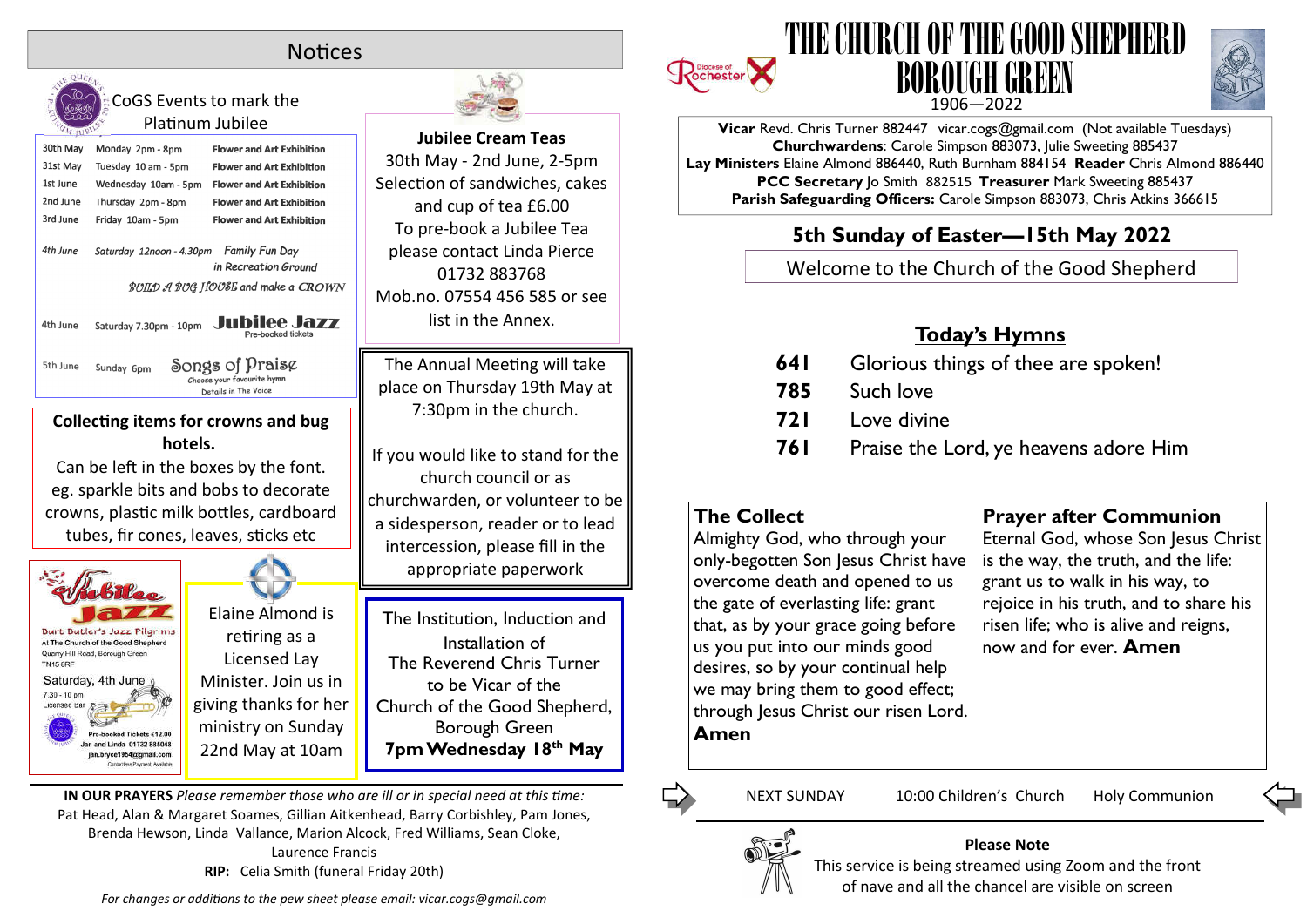## **Notices**



CoGS Events to mark the Platinum Jubilee



**hotels.** Can be left in the boxes by the font. eg. sparkle bits and bobs to decorate

crowns, plastic milk bottles, cardboard tubes, fir cones, leaves, sticks etc



Elaine Almond is retiring as a Licensed Lay Minister. Join us in giving thanks for her ministry on Sunday 22nd May at 10am



**Jubilee Cream Teas** 30th May - 2nd June, 2-5pm Selection of sandwiches, cakes and cup of tea £6.00 To pre-book a Jubilee Tea please contact Linda Pierce 01732 883768 Mob.no. 07554 456 585 or see list in the Annex.

The Annual Meeting will take place on Thursday 19th May at 7:30pm in the church.

If you would like to stand for the church council or as churchwarden, or volunteer to be a sidesperson, reader or to lead intercession, please fill in the appropriate paperwork

The Institution, Induction and Installation of The Reverend Chris Turner to be Vicar of the Church of the Good Shepherd, Borough Green **7pm Wednesday 18th May**

**IN OUR PRAYERS** *Please remember those who are ill or in special need at this me:* Pat Head, Alan & Margaret Soames, Gillian Aitkenhead, Barry Corbishley, Pam Jones, Brenda Hewson, Linda Vallance, Marion Alcock, Fred Williams, Sean Cloke, Laurence Francis **RIP:** Celia Smith (funeral Friday 20th)

*For changes or additions to the pew sheet please email: vicar.cogs@gmail.com* 





**Vicar** Revd. Chris Turner 882447 vicar.cogs@gmail.com (Not available Tuesdays) **Churchwardens**: Carole Simpson 883073, Julie Sweeting 885437 **Lay Ministers** Elaine Almond 886440, Ruth Burnham 884154 **Reader** Chris Almond 886440 **PCC Secretary** Jo Smith 882515 **Treasurer** Mark Sweeting 885437 **Parish Safeguarding Officers:** Carole Simpson 883073, Chris Atkins 366615

## **5th Sunday of Easter—15th May 2022**

Welcome to the Church of the Good Shepherd

# **Today's Hymns**

- **641** Glorious things of thee are spoken!
- **785** Such love
- **721** Love divine
- **761** Praise the Lord, ye heavens adore Him

## **The Collect**

Almighty God, who through your only-begotten Son Jesus Christ have overcome death and opened to us the gate of everlasting life: grant that, as by your grace going before us you put into our minds good desires, so by your continual help we may bring them to good effect; through Jesus Christ our risen Lord. **Amen**

### **Prayer after Communion**

Eternal God, whose Son Jesus Christ is the way, the truth, and the life: grant us to walk in his way, to rejoice in his truth, and to share his risen life; who is alive and reigns, now and for ever. **Amen**

NEXT SUNDAY 10:00 Children's Church Holy Communion



#### **Please Note**

This service is being streamed using Zoom and the front of nave and all the chancel are visible on screen